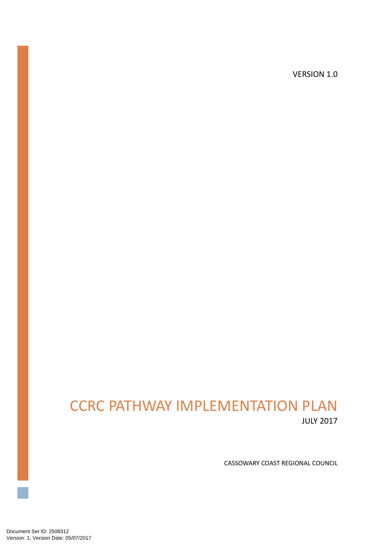VERSION 1.0

# CCRC PATHWAY IMPLEMENTATION PLAN JULY 2017

CASSOWARY COAST REGIONAL COUNCIL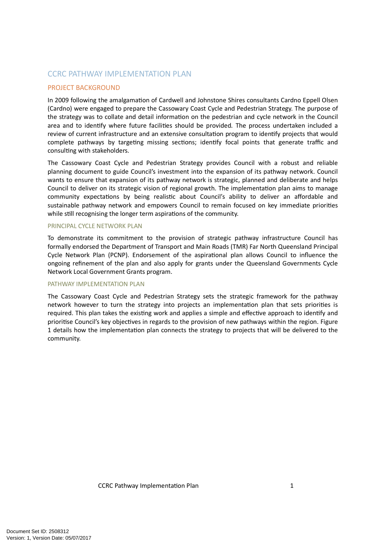# CCRC PATHWAY IMPLEMENTATION PLAN

# PROJECT BACKGROUND

In 2009 following the amalgamation of Cardwell and Johnstone Shires consultants Cardno Eppell Olsen (Cardno) were engaged to prepare the Cassowary Coast Cycle and Pedestrian Strategy. The purpose of the strategy was to collate and detail information on the pedestrian and cycle network in the Council area and to identify where future facilities should be provided. The process undertaken included a review of current infrastructure and an extensive consultation program to identify projects that would complete pathways by targeting missing sections; identify focal points that generate traffic and consulting with stakeholders.

The Cassowary Coast Cycle and Pedestrian Strategy provides Council with a robust and reliable planning document to guide Council's investment into the expansion of its pathway network. Council wants to ensure that expansion of its pathway network is strategic, planned and deliberate and helps Council to deliver on its strategic vision of regional growth. The implementation plan aims to manage community expectations by being realistic about Council's ability to deliver an affordable and sustainable pathway network and empowers Council to remain focused on key immediate priorities while still recognising the longer term aspirations of the community.

# PRINCIPAL CYCLE NETWORK PLAN

To demonstrate its commitment to the provision of strategic pathway infrastructure Council has formally endorsed the Department of Transport and Main Roads (TMR) Far North Queensland Principal Cycle Network Plan (PCNP). Endorsement of the aspirational plan allows Council to influence the ongoing refinement of the plan and also apply for grants under the Queensland Governments Cycle Network Local Government Grants program.

#### PATHWAY IMPLEMENTATION PLAN

The Cassowary Coast Cycle and Pedestrian Strategy sets the strategic framework for the pathway network however to turn the strategy into projects an implementation plan that sets priorities is required. This plan takes the existing work and applies a simple and effective approach to identify and prioritise Council's key objectives in regards to the provision of new pathways within the region. Figure 1 details how the implementation plan connects the strategy to projects that will be delivered to the community.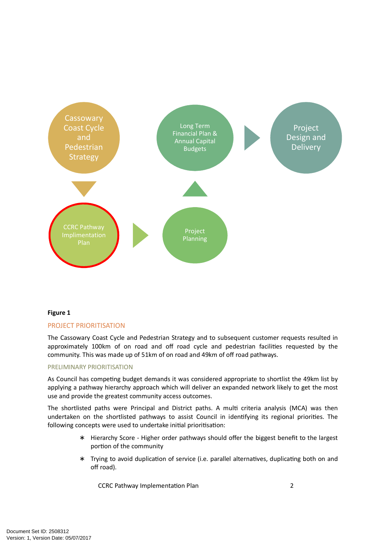

# **Figure 1**

# PROJECT PRIORITISATION

The Cassowary Coast Cycle and Pedestrian Strategy and to subsequent customer requests resulted in approximately 100km of on road and off road cycle and pedestrian facilities requested by the community. This was made up of 51km of on road and 49km of off road pathways.

#### PRELIMINARY PRIORITISATION

As Council has competing budget demands it was considered appropriate to shortlist the 49km list by applying a pathway hierarchy approach which will deliver an expanded network likely to get the most use and provide the greatest community access outcomes.

The shortlisted paths were Principal and District paths. A multi criteria analysis (MCA) was then undertaken on the shortlisted pathways to assist Council in identifying its regional priorities. The following concepts were used to undertake initial prioritisation:

- ∗ Hierarchy Score Higher order pathways should offer the biggest benefit to the largest portion of the community
- \* Trying to avoid duplication of service (i.e. parallel alternatives, duplicating both on and off road).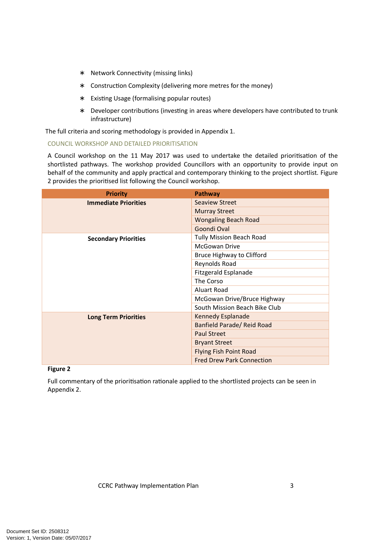- ∗ Network Connec\$vity (missing links)
- ∗ Construc\$on Complexity (delivering more metres for the money)
- ∗ Exis\$ng Usage (formalising popular routes)
- \* Developer contributions (investing in areas where developers have contributed to trunk infrastructure)

The full criteria and scoring methodology is provided in Appendix 1.

# COUNCIL WORKSHOP AND DETAILED PRIORITISATION

A Council workshop on the 11 May 2017 was used to undertake the detailed prioritisation of the shortlisted pathways. The workshop provided Councillors with an opportunity to provide input on behalf of the community and apply practical and contemporary thinking to the project shortlist. Figure 2 provides the prioritised list following the Council workshop.

| <b>Priority</b>             | Pathway                          |  |  |  |
|-----------------------------|----------------------------------|--|--|--|
| <b>Immediate Priorities</b> | Seaview Street                   |  |  |  |
|                             | <b>Murray Street</b>             |  |  |  |
|                             | <b>Wongaling Beach Road</b>      |  |  |  |
|                             | Goondi Oval                      |  |  |  |
| <b>Secondary Priorities</b> | <b>Tully Mission Beach Road</b>  |  |  |  |
|                             | McGowan Drive                    |  |  |  |
|                             | Bruce Highway to Clifford        |  |  |  |
|                             | Reynolds Road                    |  |  |  |
|                             | Fitzgerald Esplanade             |  |  |  |
|                             | The Corso<br>Aluart Road         |  |  |  |
|                             |                                  |  |  |  |
|                             | McGowan Drive/Bruce Highway      |  |  |  |
|                             | South Mission Beach Bike Club    |  |  |  |
| <b>Long Term Priorities</b> | Kennedy Esplanade                |  |  |  |
|                             | Banfield Parade/ Reid Road       |  |  |  |
|                             | <b>Paul Street</b>               |  |  |  |
|                             | <b>Bryant Street</b>             |  |  |  |
|                             | <b>Flying Fish Point Road</b>    |  |  |  |
|                             | <b>Fred Drew Park Connection</b> |  |  |  |

# **Figure 2**

Full commentary of the prioritisation rationale applied to the shortlisted projects can be seen in Appendix 2.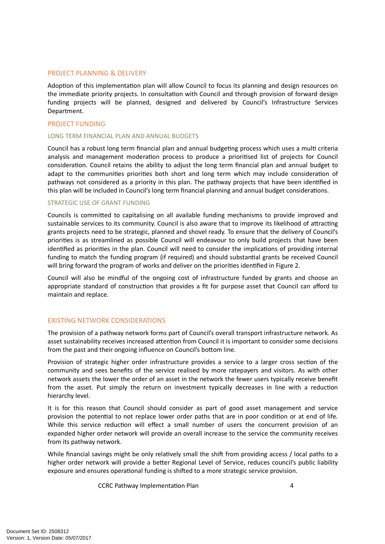### PROJECT PLANNING & DELIVERY

Adoption of this implementation plan will allow Council to focus its planning and design resources on the immediate priority projects. In consultation with Council and through provision of forward design funding projects will be planned, designed and delivered by Council's Infrastructure Services Department.

# PROJECT FUNDING

#### LONG TERM FINANCIAL PLAN AND ANNUAL BUDGETS

Council has a robust long term financial plan and annual budgeting process which uses a multi criteria analysis and management moderation process to produce a prioritised list of projects for Council consideration. Council retains the ability to adjust the long term financial plan and annual budget to adapt to the communities priorities both short and long term which may include consideration of pathways not considered as a priority in this plan. The pathway projects that have been identified in this plan will be included in Council's long term financial planning and annual budget considerations.

#### STRATEGIC USE OF GRANT FUNDING

Councils is committed to capitalising on all available funding mechanisms to provide improved and sustainable services to its community. Council is also aware that to improve its likelihood of attracting grants projects need to be strategic, planned and shovel ready. To ensure that the delivery of Council's priorities is as streamlined as possible Council will endeavour to only build projects that have been identified as priorities in the plan. Council will need to consider the implications of providing internal funding to match the funding program (if required) and should substantial grants be received Council will bring forward the program of works and deliver on the priorities identified in Figure 2.

Council will also be mindful of the ongoing cost of infrastructure funded by grants and choose an appropriate standard of construction that provides a fit for purpose asset that Council can afford to maintain and replace.

# EXISTING NETWORK CONSIDERATIONS

The provision of a pathway network forms part of Council's overall transport infrastructure network. As asset sustainability receives increased attention from Council it is important to consider some decisions from the past and their ongoing influence on Council's bottom line.

Provision of strategic higher order infrastructure provides a service to a larger cross section of the community and sees benefits of the service realised by more ratepayers and visitors. As with other network assets the lower the order of an asset in the network the fewer users typically receive benefit from the asset. Put simply the return on investment typically decreases in line with a reduction hierarchy level.

It is for this reason that Council should consider as part of good asset management and service provision the potential to not replace lower order paths that are in poor condition or at end of life. While this service reduction will effect a small number of users the concurrent provision of an expanded higher order network will provide an overall increase to the service the community receives from its pathway network.

While financial savings might be only relatively small the shift from providing access / local paths to a higher order network will provide a better Regional Level of Service, reduces council's public liability exposure and ensures operational funding is shifted to a more strategic service provision.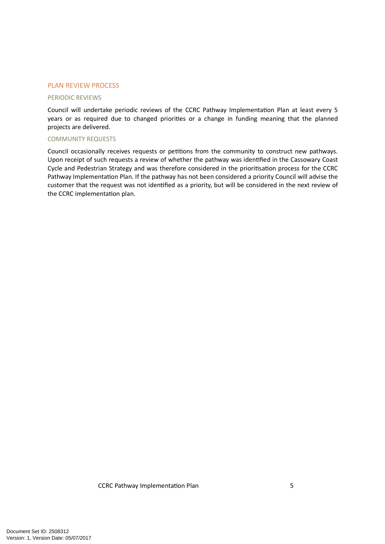#### PLAN REVIEW PROCESS

#### PERIODIC REVIEWS

Council will undertake periodic reviews of the CCRC Pathway Implementation Plan at least every 5 years or as required due to changed priorities or a change in funding meaning that the planned projects are delivered.

#### COMMUNITY REQUESTS

Council occasionally receives requests or petitions from the community to construct new pathways. Upon receipt of such requests a review of whether the pathway was identified in the Cassowary Coast Cycle and Pedestrian Strategy and was therefore considered in the prioritisation process for the CCRC Pathway Implementation Plan. If the pathway has not been considered a priority Council will advise the customer that the request was not identified as a priority, but will be considered in the next review of the CCRC implementation plan.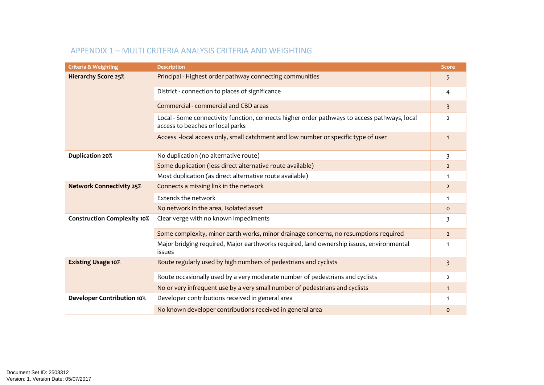| <b>Criteria &amp; Weighting</b>    | <b>Description</b>                                                                                                               | <b>Score</b>            |
|------------------------------------|----------------------------------------------------------------------------------------------------------------------------------|-------------------------|
| <b>Hierarchy Score 25%</b>         | Principal - Highest order pathway connecting communities                                                                         | 5                       |
|                                    | District - connection to places of significance                                                                                  | 4                       |
|                                    | Commercial - commercial and CBD areas                                                                                            | $\overline{\mathbf{3}}$ |
|                                    | Local - Some connectivity function, connects higher order pathways to access pathways, local<br>access to beaches or local parks | $\overline{2}$          |
|                                    | Access -local access only, small catchment and low number or specific type of user                                               | $\mathbf{1}$            |
| <b>Duplication 20%</b>             | No duplication (no alternative route)                                                                                            | 3                       |
|                                    | Some duplication (less direct alternative route available)                                                                       | $\overline{2}$          |
|                                    | Most duplication (as direct alternative route available)                                                                         | $\mathbf{1}$            |
| <b>Network Connectivity 25%</b>    | Connects a missing link in the network                                                                                           | $\overline{2}$          |
|                                    | Extends the network                                                                                                              | $\mathbf{1}$            |
|                                    | No network in the area, Isolated asset                                                                                           | $\mathbf 0$             |
| <b>Construction Complexity 10%</b> | Clear verge with no known impediments                                                                                            | 3                       |
|                                    | Some complexity, minor earth works, minor drainage concerns, no resumptions required                                             | $\overline{2}$          |
|                                    | Major bridging required, Major earthworks required, land ownership issues, environmental<br>issues                               | $\mathbf{1}$            |
| <b>Existing Usage 10%</b>          | Route regularly used by high numbers of pedestrians and cyclists                                                                 | 3                       |
|                                    | Route occasionally used by a very moderate number of pedestrians and cyclists                                                    | $\overline{2}$          |
|                                    | No or very infrequent use by a very small number of pedestrians and cyclists                                                     | $\mathbf{1}$            |
| <b>Developer Contribution 10%</b>  | Developer contributions received in general area                                                                                 | $\mathbf{1}$            |
|                                    | No known developer contributions received in general area                                                                        | $\mathbf 0$             |

# APPENDIX 1 – MULTI CRITERIA ANALYSIS CRITERIA AND WEIGHTING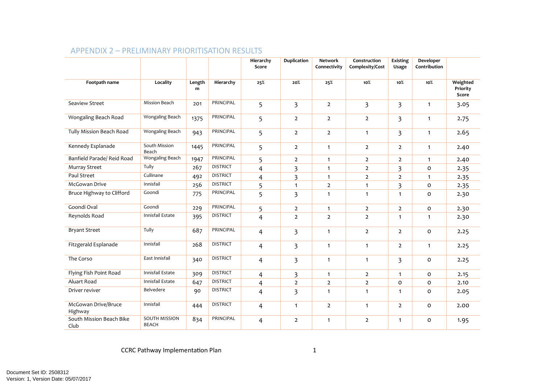|                                  |                                      |             |                 | Hierarchy<br>Score | <b>Duplication</b>      | <b>Network</b><br>Connectivity | Construction<br>Complexity/Cost | Existing<br>Usage       | Developer<br>Contribution |                               |
|----------------------------------|--------------------------------------|-------------|-----------------|--------------------|-------------------------|--------------------------------|---------------------------------|-------------------------|---------------------------|-------------------------------|
| Footpath name                    | Locality                             | Length<br>m | Hierarchy       | 25%                | 20%                     | 25%                            | $10\%$                          | 10%                     | 10%                       | Weighted<br>Priority<br>Score |
| Seaview Street                   | Mission Beach                        | 201         | PRINCIPAL       | 5                  | $\overline{3}$          | $\overline{2}$                 | $\overline{\mathbf{3}}$         | $\overline{\mathbf{3}}$ | $\mathbf{1}$              | 3.05                          |
| Wongaling Beach Road             | Wongaling Beach                      | 1375        | PRINCIPAL       | 5                  | $\overline{2}$          | $\overline{2}$                 | $\overline{2}$                  | $\overline{\mathbf{3}}$ | $\mathbf{1}$              | 2.75                          |
| Tully Mission Beach Road         | Wongaling Beach                      | 943         | PRINCIPAL       | 5                  | $\overline{2}$          | $\overline{2}$                 | $\mathbf{1}$                    | $\overline{\mathbf{3}}$ | $\mathbf{1}$              | 2.65                          |
| Kennedy Esplanade                | South Mission<br>Beach               | 1445        | PRINCIPAL       | 5                  | $\overline{2}$          | $\mathbf{1}$                   | $\overline{2}$                  | $\overline{2}$          | $\mathbf{1}$              | 2.40                          |
| Banfield Parade/ Reid Road       | Wongaling Beach                      | 1947        | PRINCIPAL       | 5                  | $\overline{2}$          | $\mathbf{1}$                   | $\overline{2}$                  | $\overline{2}$          | $\mathbf{1}$              | 2.40                          |
| <b>Murray Street</b>             | Tully                                | 267         | <b>DISTRICT</b> | $\overline{4}$     | 3                       | $\mathbf{1}$                   | $\mathbf{2}$                    | 3                       | $\mathbf 0$               | 2.35                          |
| Paul Street                      | Cullinane                            | 492         | <b>DISTRICT</b> | $\overline{4}$     | 3                       | $\mathbf{1}$                   | $\overline{2}$                  | $\overline{2}$          | $\mathbf{1}$              | 2.35                          |
| McGowan Drive                    | Innisfail                            | 256         | <b>DISTRICT</b> | 5                  | $\mathbf{1}$            | $\overline{2}$                 | $\mathbf{1}$                    | 3                       | $\mathbf 0$               | 2.35                          |
| Bruce Highway to Clifford        | Goondi                               | 775         | PRINCIPAL       | 5                  | $\overline{\mathbf{3}}$ | $\mathbf{1}$                   | $\mathbf{1}$                    | $\mathbf{1}$            | $\mathbf 0$               | 2.30                          |
| Goondi Oval                      | Goondi                               | 229         | PRINCIPAL       | 5                  | $\overline{2}$          | $\mathbf{1}$                   | $\overline{2}$                  | $\overline{2}$          | $\mathbf 0$               | 2.30                          |
| Reynolds Road                    | Innisfail Estate                     | 395         | <b>DISTRICT</b> | $\overline{4}$     | $\overline{2}$          | $\overline{2}$                 | $\overline{2}$                  | $\mathbf{1}$            | $\mathbf{1}$              | 2.30                          |
| <b>Bryant Street</b>             | Tully                                | 687         | PRINCIPAL       | 4                  | 3                       | $\mathbf{1}$                   | $\overline{2}$                  | $\overline{2}$          | $\Omega$                  | 2.25                          |
| Fitzgerald Esplanade             | Innisfail                            | 268         | <b>DISTRICT</b> | 4                  | 3                       | $\mathbf{1}$                   | $\mathbf{1}$                    | $\overline{2}$          | $\mathbf{1}$              | 2.25                          |
| The Corso                        | East Innisfail                       | 340         | <b>DISTRICT</b> | 4                  | 3                       | $\mathbf{1}$                   | $\mathbf{1}$                    | 3                       | O                         | 2.25                          |
| Flying Fish Point Road           | Innisfail Estate                     | 309         | <b>DISTRICT</b> | 4                  | 3                       | $\mathbf{1}$                   | $\overline{2}$                  | $\mathbf{1}$            | 0                         | 2.15                          |
| Aluart Road                      | Innisfail Estate                     | 647         | <b>DISTRICT</b> | $\overline{4}$     | $\mathbf{2}$            | $\mathbf 2$                    | $\mathbf 2$                     | $\mathsf{o}$            | $\mathbf{o}$              | 2.10                          |
| Driver reviver                   | Belvedere                            | 90          | <b>DISTRICT</b> | $\overline{4}$     | 3                       | $\mathbf{1}$                   | $\mathbf{1}$                    | $\mathbf{1}$            | O                         | 2.05                          |
| McGowan Drive/Bruce<br>Highway   | Innisfail                            | 444         | <b>DISTRICT</b> | 4                  | $\mathbf{1}$            | $\overline{2}$                 | $\mathbf{1}$                    | $\overline{2}$          | O                         | 2.00                          |
| South Mission Beach Bike<br>Club | <b>SOUTH MISSION</b><br><b>BEACH</b> | 834         | PRINCIPAL       | 4                  | $\overline{2}$          | $\mathbf{1}$                   | $\overline{2}$                  | $\mathbf{1}$            | $\mathbf 0$               | 1.95                          |

# APPENDIX 2 – PRELIMINARY PRIORITISATION RESULTS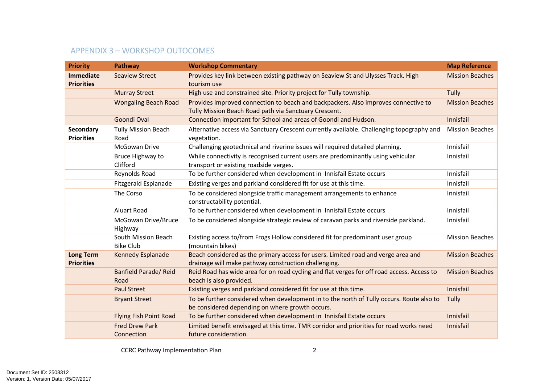# APPENDIX 3 – WORKSHOP OUTOCOMES

| <b>Priority</b>                       | Pathway                                 | <b>Workshop Commentary</b>                                                                                                                  | <b>Map Reference</b>   |
|---------------------------------------|-----------------------------------------|---------------------------------------------------------------------------------------------------------------------------------------------|------------------------|
| <b>Immediate</b>                      | <b>Seaview Street</b>                   | Provides key link between existing pathway on Seaview St and Ulysses Track. High                                                            | <b>Mission Beaches</b> |
| <b>Priorities</b>                     |                                         | tourism use                                                                                                                                 |                        |
|                                       | <b>Murray Street</b>                    | High use and constrained site. Priority project for Tully township.                                                                         | Tully                  |
|                                       | <b>Wongaling Beach Road</b>             | Provides improved connection to beach and backpackers. Also improves connective to                                                          | <b>Mission Beaches</b> |
|                                       |                                         | Tully Mission Beach Road path via Sanctuary Crescent.                                                                                       |                        |
|                                       | Goondi Oval                             | Connection important for School and areas of Goondi and Hudson.                                                                             | Innisfail              |
| Secondary<br><b>Priorities</b>        | <b>Tully Mission Beach</b><br>Road      | Alternative access via Sanctuary Crescent currently available. Challenging topography and<br>vegetation.                                    | <b>Mission Beaches</b> |
|                                       | McGowan Drive                           | Challenging geotechnical and riverine issues will required detailed planning.                                                               | Innisfail              |
|                                       | Bruce Highway to                        | While connectivity is recognised current users are predominantly using vehicular                                                            | Innisfail              |
|                                       | Clifford                                | transport or existing roadside verges.                                                                                                      |                        |
|                                       | Reynolds Road                           | To be further considered when development in Innisfail Estate occurs                                                                        | Innisfail              |
|                                       | <b>Fitzgerald Esplanade</b>             | Existing verges and parkland considered fit for use at this time.                                                                           | Innisfail              |
|                                       | The Corso                               | To be considered alongside traffic management arrangements to enhance<br>constructability potential.                                        | Innisfail              |
|                                       | <b>Aluart Road</b>                      | To be further considered when development in Innisfail Estate occurs                                                                        | Innisfail              |
|                                       | McGowan Drive/Bruce<br>Highway          | To be considered alongside strategic review of caravan parks and riverside parkland.                                                        | Innisfail              |
|                                       | South Mission Beach<br><b>Bike Club</b> | Existing access to/from Frogs Hollow considered fit for predominant user group<br>(mountain bikes)                                          | <b>Mission Beaches</b> |
| <b>Long Term</b><br><b>Priorities</b> | Kennedy Esplanade                       | Beach considered as the primary access for users. Limited road and verge area and<br>drainage will make pathway construction challenging.   | <b>Mission Beaches</b> |
|                                       | <b>Banfield Parade/ Reid</b><br>Road    | Reid Road has wide area for on road cycling and flat verges for off road access. Access to<br>beach is also provided.                       | <b>Mission Beaches</b> |
|                                       | <b>Paul Street</b>                      | Existing verges and parkland considered fit for use at this time.                                                                           | Innisfail              |
|                                       | <b>Bryant Street</b>                    | To be further considered when development in to the north of Tully occurs. Route also to<br>be considered depending on where growth occurs. | Tully                  |
|                                       | <b>Flying Fish Point Road</b>           | To be further considered when development in Innisfail Estate occurs                                                                        | Innisfail              |
|                                       | <b>Fred Drew Park</b><br>Connection     | Limited benefit envisaged at this time. TMR corridor and priorities for road works need<br>future consideration.                            | Innisfail              |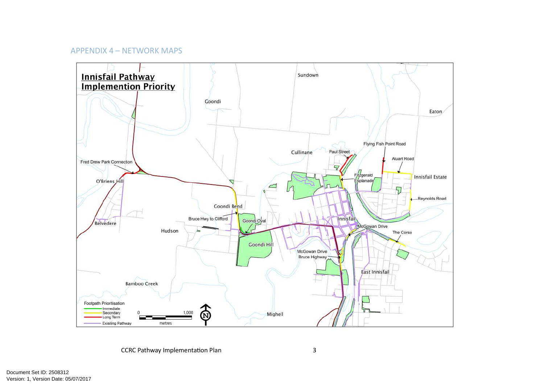# APPENDIX 4 – NETWORK MAPS

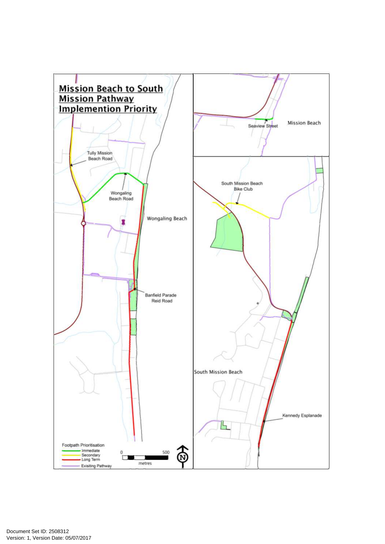